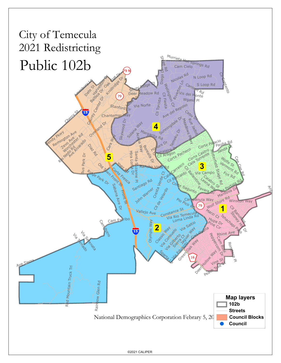